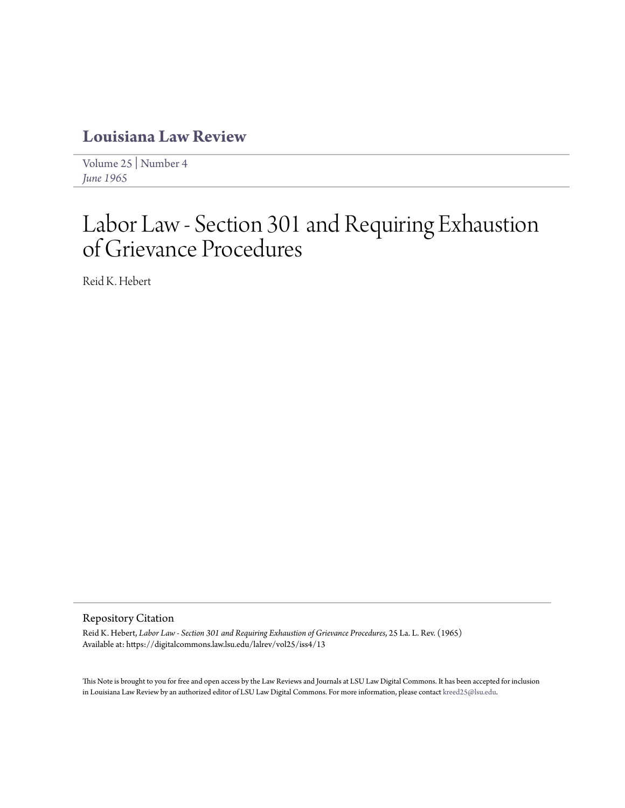# **[Louisiana Law Review](https://digitalcommons.law.lsu.edu/lalrev)**

[Volume 25](https://digitalcommons.law.lsu.edu/lalrev/vol25) | [Number 4](https://digitalcommons.law.lsu.edu/lalrev/vol25/iss4) *[June 1965](https://digitalcommons.law.lsu.edu/lalrev/vol25/iss4)*

# Labor Law - Section 301 and Requiring Exhaustion of Grievance Procedures

Reid K. Hebert

# Repository Citation

Reid K. Hebert, *Labor Law - Section 301 and Requiring Exhaustion of Grievance Procedures*, 25 La. L. Rev. (1965) Available at: https://digitalcommons.law.lsu.edu/lalrev/vol25/iss4/13

This Note is brought to you for free and open access by the Law Reviews and Journals at LSU Law Digital Commons. It has been accepted for inclusion in Louisiana Law Review by an authorized editor of LSU Law Digital Commons. For more information, please contact [kreed25@lsu.edu](mailto:kreed25@lsu.edu).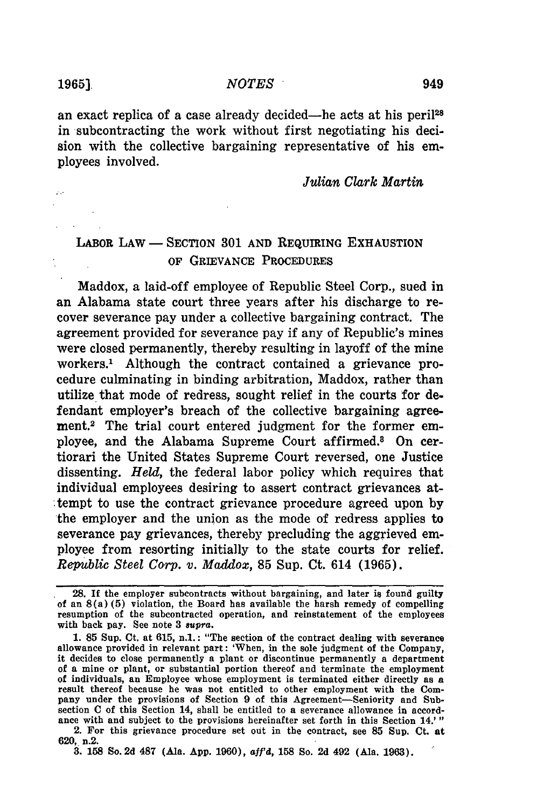an exact replica of a case already decided—he acts at his peril<sup>28</sup> in subcontracting the work without first negotiating his decision with the collective bargaining representative of his employees involved.

### *Julian Clark Martin*

# LABOR LAW **- SECTION 301 AND** REQUIRING **EXHAUSTION** OF GRIEVANCE PROCEDURES

Maddox, a laid-off employee of Republic Steel Corp., sued in an Alabama state court three years after his discharge to recover severance pay under a collective bargaining contract. The agreement provided for severance pay if any of Republic's mines were closed permanently, thereby resulting in layoff of the mine workers.1 Although the contract contained a grievance procedure culminating in binding arbitration, Maddox, rather than utilize that mode of redress, sought relief in the courts for defendant employer's breach of the collective bargaining agreement.2 The trial court entered judgment for the former employee, and the Alabama Supreme Court affirmed.8 On certiorari the United States Supreme Court reversed, one Justice dissenting. *Held,* the federal labor policy which requires that individual employees desiring to assert contract grievances attempt to use the contract grievance procedure agreed upon **by** the employer and the union as the mode of redress applies to severance pay grievances, thereby precluding the aggrieved employee from resorting initially to the state courts for relief. *Republic Steel Corp. v. Maddox,* 85 Sup. Ct. 614 (1965).

**620,** n.2.

**3. 158** So. 2d **487** (Ala. **App. 1960), af'd, 158** So. **2d** 492 (Ala. **1963).**

<sup>28.</sup> If the employer subcontracts without bargaining, and later is found guilty of an 8(a) (5) violation, the Board has available the harsh remedy of compelling resumption of the subcontracted operation, and reinstatement of the employees with back pay. See note **3 8upra.**

**<sup>1. 85</sup>** Sup. Ct. at **615,** n.1.: "The section of the contract dealing with severance allowance provided in relevant part: 'When, in the sole judgment of the Company, it decides to close permanently a plant or discontinue permanently a department of a mine or plant, or substantial portion thereof and terminate the employment of individuals, an Employee whose employment is terminated either directly as a result thereof because he was not entitled to other employment with the Company under the provisions of Section **9** of this Agreement-Seniority and Subsection **C** of this Section 14, shall be entitled to a severance allowance in accordance with and subject to the provisions hereinafter set forth in this Section 14.' " 2. For this grievance procedure set out in the contract, see **85** Sup. Ct. at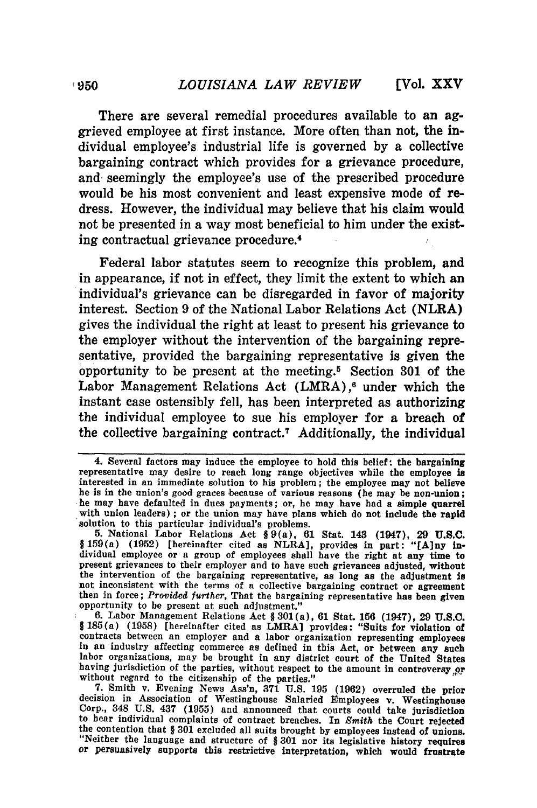There are several remedial procedures available to an aggrieved employee at first instance. More often than not, the individual employee's industrial life is governed by a collective bargaining contract which provides for a grievance procedure, and seemingly the employee's use of the prescribed procedure would be his most convenient and least expensive mode of redress. However, the individual may believe that his claim would not be presented in a way most beneficial to him under the existing contractual grievance procedure. <sup>4</sup>

Federal labor statutes seem to recognize this problem, and in appearance, if not in effect, they limit the extent to which an individual's grievance can be disregarded in favor of majority interest. Section 9 of the National Labor Relations Act (NLRA) gives the individual the right at least to present his grievance to the employer without the intervention of the bargaining representative, provided the bargaining representative is given the opportunity to be present at the meeting. 5 Section **301** of the Labor Management Relations Act (LMRA),<sup>6</sup> under which the instant case ostensibly fell, has been interpreted as authorizing the individual employee to sue his employer for a breach of the collective bargaining contract.7 Additionally, the individual

<sup>4.</sup> Several factors may induce the employee to hold this belief: the bargaining representative may desire to reach long range objectives while the employee is interested in an immediate solution to his problem; the employee may not believe he is in the union's good graces because of various reasons (he may be non-union; he may have defaulted in dues payments; or, he may have had a simple quarrel with union leaders) ; or the union may have plans which do not include the rapid solution to this particular individual's problems. **5.** National Labor Relations Act **§** 9(a), **61** Stat. 143 (1947), 29 **U.S.C.**

<sup>§159(</sup>a) **(1952)** [hereinafter cited as NLRA], provides in part: "[A]ny individual employee or a group of employees shall have the right at any time to present grievances to their employer and to have such grievances adjusted, without the intervention of the bargaining representative, as long as the adjustment is not inconsistent with the terms of a collective bargaining contract or agreement then in force; *Provided further,* That the bargaining representative has been given

opportunity to be present at such adjustment."<br>6. Labor Management Relations Act § 301(a), 61 Stat. 156 (1947), 29 U.S.C.<br>§ 185(a) (1958) [hereinafter cited as LMRA] provides: "Suits for violation of contracts between an employer and a labor organization representing employees in an industry affecting commerce as defined in this Act, or between any such labor organizations, may be brought in any district court of the United States having jurisdiction of the parties, without respect to the amount in controversy of without regard to the citizenship of the parties."<br> **7.** Smith v. Evening News Ass'n, 371 U.S. 195 (1962) overruled the prior

decision in Association of Westinghouse Salaried Employees v. Westinghouse Corp., 348 **U.S.** 437 **(1955)** and announced that courts could take jurisdiction to hear individual complaints of contract breaches. In *Smith* the Court rejected the contention that § **301** excluded all suits brought **by** employees instead of unions. "Neither the language and structure of § **301** nor its legislative history requires or persuasively supports this restrictive interpretation, which would frustrate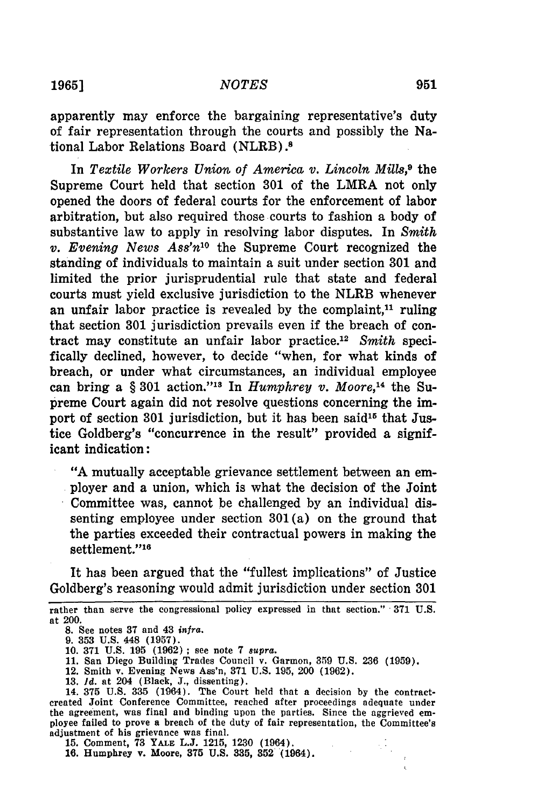**1965]**

apparently may enforce the bargaining representative's duty of fair representation through the courts and possibly the National Labor Relations Board (NLRB).<sup>8</sup>

In *Textile Workers Union of America v. Lincoln Mills,9* the Supreme Court held that section 301 of the LMRA not only opened the doors of federal courts for the enforcement of labor arbitration, but also required those courts to fashion a body of substantive law to apply in resolving labor disputes. In *Smith v. Evening News Ass'n10* the Supreme Court recognized the standing of individuals to maintain a suit under section 301 and limited the prior jurisprudential rule that state and federal courts must yield exclusive jurisdiction to the NLRB whenever an unfair labor practice is revealed by the complaint,<sup>11</sup> ruling that section 301 jurisdiction prevails even if the breach of contract may constitute an unfair labor practice. <sup>12</sup>*Smith* specifically declined, however, to decide "when, for what kinds of breach, or under what circumstances, an individual employee can bring a § 301 action." 18 In *Humphrey v. Moore,'4* the Supreme Court again did not resolve questions concerning the import of section 301 jurisdiction, but it has been said<sup>15</sup> that Justice Goldberg's "concurrence in the result" provided a significant indication:

"A mutually acceptable grievance settlement between an employer and a union, which is what the decision of the Joint Committee was, cannot be challenged by an individual dissenting employee under section 301 (a) on the ground that the parties exceeded their contractual powers in making the settlement."<sup>16</sup>

It has been argued that the "fullest implications" of Justice Goldberg's reasoning would admit jurisdiction under section 301

- 11. San Diego Building Trades Council v. Garmon, **359** U.S. 236 **(1959).**
- 12. Smith **v.** Evening News Ass'n, 371 U.S. 195, 200 (1962).
- **13. 1d.** at 204 (Black, J., dissenting).

14. **375** U.S. 335 (1964). The Court held that a decision by the contractcreated Joint Conference Committee, reached after proceedings adequate under the agreement, was final and binding upon the parties. Since the aggrieved employee failed to prove a breach of the duty of fair representation, the Committee's adjustment of his grievance was final. **15.** Comment, **73** YALE **L.J.** 1215, **1230** (1964).

**16.** Humphrey v. Moore, **375 U.S. 335, 352** (1964).

rather than serve the congressional policy expressed in that section." 371 U.S. at 200.

**<sup>8.</sup>** See notes **37** and 43 *infra.*

<sup>9.</sup> **353** U.S. 448 (1957).

<sup>10. 371</sup> U.S. 195 (1962) **;** see note 7 *supra.*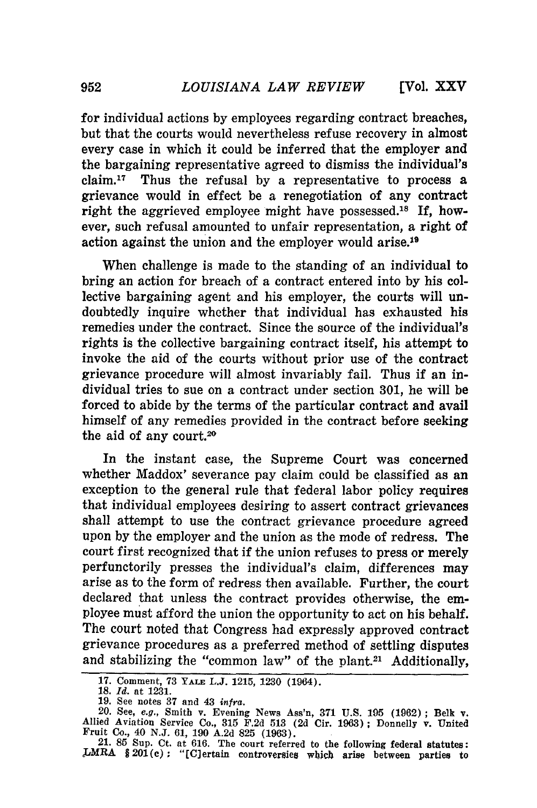for individual actions **by** employees regarding contract breaches, but that the courts would nevertheless refuse recovery in almost every case in which it could be inferred that the employer and the bargaining representative agreed to dismiss the individual's claim.17 Thus the refusal **by** a representative to process a grievance would in effect be a renegotiation of any contract right the aggrieved employee might have possessed.<sup>18</sup> If, however, such refusal amounted to unfair representation, a right of action against the union and the employer would arise.<sup>19</sup>

When challenge is made to the standing of an individual to bring an action for breach of a contract entered into **by** his collective bargaining agent and his employer, the courts will undoubtedly inquire whether that individual has exhausted his remedies under the contract. Since the source of the individual's rights is the collective bargaining contract itself, his attempt to invoke the aid of the courts without prior use of the contract grievance procedure will almost invariably fail. Thus if an individual tries to sue on a contract under section **301,** he will be forced to abide **by** the terms of the particular contract and avail himself of any remedies provided in the contract before seeking the aid of any court.<sup>20</sup>

In the instant case, the Supreme Court was concerned whether Maddox' severance pay claim could be classified as an exception to the general rule that federal labor policy requires that individual employees desiring to assert contract grievances shall attempt to use the contract grievance procedure agreed upon **by** the employer and the union as the mode of redress. The court first recognized that if the union refuses to press or merely perfunctorily presses the individual's claim, differences may arise as to the form of redress then available. Further, the court declared that unless the contract provides otherwise, the employee must afford the union the opportunity to act on his behalf. The court noted that Congress had expressly approved contract grievance procedures as a preferred method of settling disputes and stabilizing the "common law" of the plant.<sup>21</sup> Additionally,

<sup>17.</sup> Comment, **73 YALE L.J. 1215, 1230** (1964).

<sup>18.</sup> *Id.* at 1231.

<sup>19.</sup> See notes 37 and 43 *infra*.<br>
20. See, *e.g.*, Smith v. Evening News Ass'n, 371 U.S. 195 (1962); Belk v.<br>
Allied Aviation Service Co., 315 F.2d 513 (2d Cir. 1963); Donnelly v. United<br>
Fruit Co., 40 N.J. 61, 190 A.2d 82

<sup>21.</sup> **85** Sup. Ct. at 616. The court referred to the following federal statutes: LMRA § 201(c): "[C] ertain controversies which arise between parties to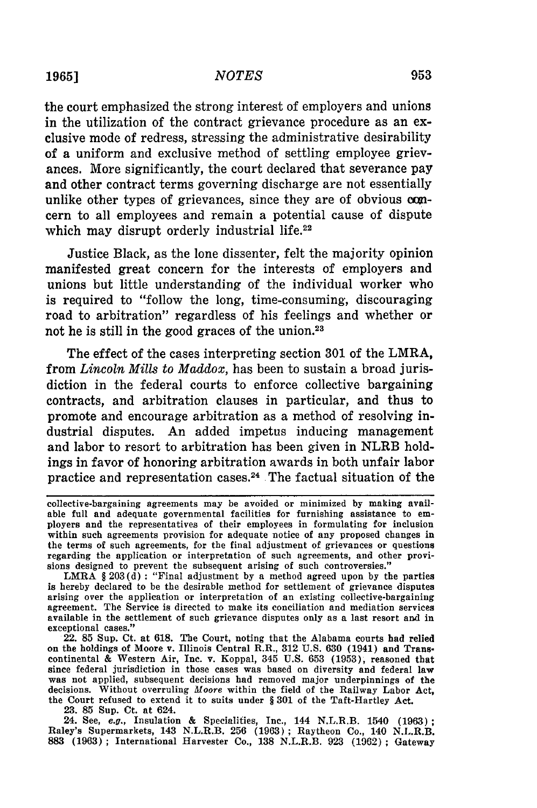## *NOTES*

the court emphasized the strong interest of employers and unions in the utilization of the contract grievance procedure as an exclusive mode of redress, stressing the administrative desirability of a uniform and exclusive method of settling employee grievances. More significantly, the court declared that severance pay and other contract terms governing discharge are not essentially unlike other types of grievances, since they are of obvious comcern to all employees and remain a potential cause of dispute which may disrupt orderly industrial life.<sup>22</sup>

Justice Black, as the lone dissenter, felt the majority opinion manifested great concern for the interests of employers and unions but little understanding of the individual worker who is required to "follow the long, time-consuming, discouraging road to arbitration" regardless of his feelings and whether or not he is still in the good graces of the union.<sup>23</sup>

The effect of the cases interpreting section 301 of the LMRA, from *Lincoln Mills to Maddox,* has been to sustain a broad jurisdiction in the federal courts to enforce collective bargaining contracts, and arbitration clauses in particular, and thus to promote and encourage arbitration as a method of resolving industrial disputes. An added impetus inducing management and labor to resort to arbitration has been given in NLRB holdings in favor of honoring arbitration awards in both unfair labor practice and representation cases.<sup>24</sup> The factual situation of the

LMRA § 203(d) **:** "Final adjustment by a method agreed upon by the parties is hereby declared to be the desirable method for settlement of grievance disputes arising over the application or interpretation of an existing collective-bargaining agreement. The Service is directed to make its conciliation and mediation services available in the settlement of such grievance disputes only as a last resort and in exceptional cases."

22. **85** Sup. Ct. at 618. The Court, noting that the Alabama courts had relied on the holdings of Moore v. Illinois Central R.R., 312 U.S. 630 (1941) and Trans. continental & Western Air, Inc. v. Koppal, 345 U.S. 653 (1953), reasoned that since federal jurisdiction in those cases was based on diversity and federal law was not applied, subsequent decisions had removed major underpinnings of the decisions. Without overruling *Moore* within the field of the Railway Labor Act, the Court refused to extend it to suits under § **301** of the Taft-Hartley Act.

23. 85 Sup. Ct. at 624.

24. See, *e.g.,* Insulation & Specialities, Inc., 144 N.L.R.B. 1540 (1963) Raley's Supermarkets, 143 N.L.R.B. 256 (1963) ; Raytheon Co., 140 N.L.R.B. **883** (1963); International Harvester Co., 138 N.L.R.B. 923 (1962) ; Gateway

collective-bargaining agreements may be avoided or minimized by making available full and adequate governmental facilities for furnishing assistance to employers and the representatives of their employees in formulating for inclusion within such agreements provision for adequate notice of any proposed changes in the terms of such agreements, for the final adjustment of grievances or questions regarding the application or interpretation of such agreements, and other provisions designed to prevent the subsequent arising of such controversies."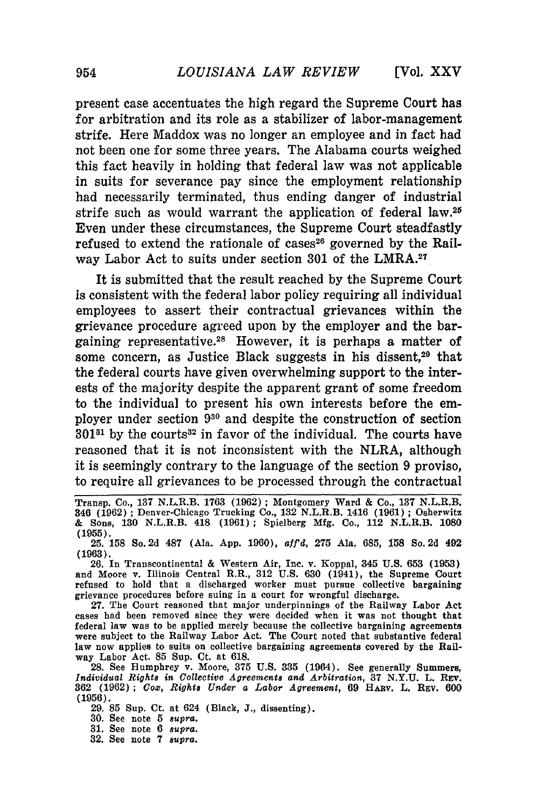**[Vol. XXV**

present case accentuates the high regard the Supreme Court has for arbitration and its role as a stabilizer of labor-management strife. Here Maddox was no longer an employee and in fact had not been one for some three years. The Alabama courts weighed this fact heavily in holding that federal law was not applicable in suits for severance pay since the employment relationship had necessarily terminated, thus ending danger of industrial strife such as would warrant the application of federal law.25 Even under these circumstances, the Supreme Court steadfastly refused to extend the rationale of cases<sup>26</sup> governed by the Railway Labor Act to suits under section 301 of the LMRA.<sup>27</sup>

It is submitted that the result reached by the Supreme Court is consistent with the federal labor policy requiring all individual employees to assert their contractual grievances within the grievance procedure agreed upon by the employer and the bargaining representative.28 However, it is perhaps a matter of some concern, as Justice Black suggests in his dissent,<sup>29</sup> that the federal courts have given overwhelming support to the interests of the majority despite the apparent grant of some freedom to the individual to present his own interests before the employer under section **930** and despite the construction of section  $301^{31}$  by the courts<sup>32</sup> in favor of the individual. The courts have reasoned that it is not inconsistent with the NLRA, although it is seemingly contrary to the language of the section 9 proviso, to require all grievances to be processed through the contractual

29. **85** Sup. Ct. at 624 (Black, **J.,** dissenting).

30. See note **5** *supra.*

**31.** See note 6 *supra.*

**32.** See note **7** *supra.*

Transp. Co., 137 N.L.R.B. 1763 (1962) ; Montgomery Ward & Co., 137 N.L.R.B. 346 (1962) ; Denver-Chicago Trucking Co., 132 N.L.R.B. 1416 (1961) ; Osherwitz & Sons, 130 N.L.R.B. 418 (1961); Spielberg Mfg. Co., 112 N.L.R.B. 1080 **(1955).**

**<sup>25. 158</sup>** So. **2d 487** (Ala. **App.** 1960), aff'd, **275** Ala. **685, 158** So. **2d** 492 **(1963).**

<sup>26.</sup> In Transcontinental & Western Air, Inc. v. Koppal, 345 U.S. **653** (1953) and Moore v. Illinois Central R.R., 312 U.S. 630 (1941), the Supreme Court refused to hold that a discharged worker must pursue collective bargaining grievance procedures before suing in a court for wrongful discharge.

<sup>27.</sup> The Court reasoned that major underpinnings of the Railway Labor Act cases had been removed since they were decided when it was not thought that federal law was to be applied merely because the collective bargaining agreements were subject to the Railway Labor Act. The Court noted that substantive federal law now applies to suits on collective bargaining agreements covered by the Railway Labor Act. **85** Sup. Ct. at 618.

<sup>28.</sup> See Humphrey v. Moore, **375** U.S. **335** (1964). See generally Summers, *Individual Rights in Collective Agreements and Arbitration,* **37 N.Y.U.** L. **REv. 362** (1962) ; *Cox', Rights Under a Labor Agreement,* **69** HARy. L. REv. **600** (1956).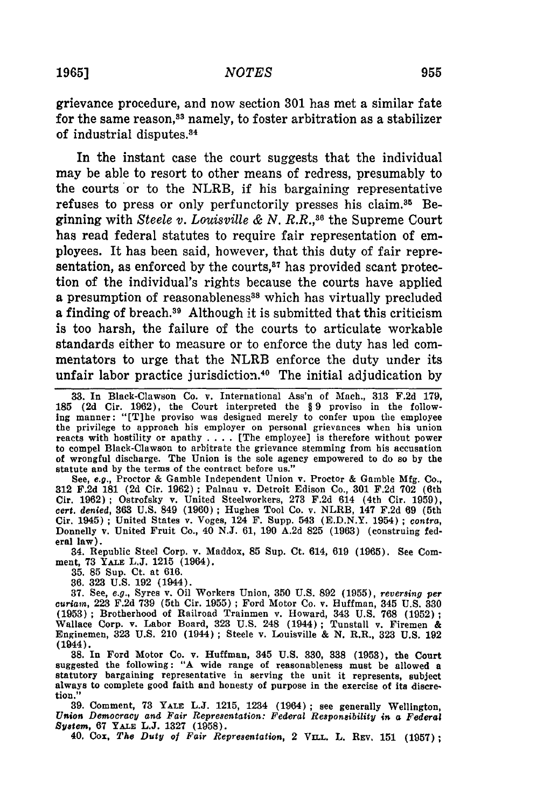#### **1965]** *NOTES*

grievance procedure, and now section **301** has met a similar fate for the same reason,<sup>33</sup> namely, to foster arbitration as a stabilizer of industrial disputes.<sup>84</sup>

In the instant case the court suggests that the individual may be able to resort to other means of redress, presumably to the courts or to the NLRB, if his bargaining representative refuses to press or only perfunctorily presses his claim.<sup>35</sup> Beginning with *Steele v. Louisville & N. R.R.,36* the Supreme Court has read federal statutes to require fair representation of employees. It has been said, however, that this duty of fair representation, as enforced by the courts, $37$  has provided scant protection of the individual's rights because the courts have applied a presumption of reasonableness<sup>38</sup> which has virtually precluded a finding of breach.<sup>39</sup> Although it is submitted that this criticism is too harsh, the failure of the courts to articulate workable standards either to measure or to enforce the duty has led commentators to urge that the NLRB enforce the duty under its unfair labor practice jurisdiction.<sup>40</sup> The initial adjudication by

See, e.g., Proctor & Gamble Independent Union v. Proctor & Gamble Mfg. Co., **312** F.2d 181 (2d Cir. 1962) ; Palnau v. Detroit Edison Co., 301 F.2d 702 (6th Cir. 1962) ; Ostrofsky v. United Steelworkers, 273 F.2d 614 (4th Cir. **1959),** *cert. denied,* **363 U.S.** 849 **(1960) ;** Hughes Tool Co. v. NLRB, 147 **F.2d** 69 (5th Cir. 1945) **;** United States v. Voges, 124 F. Supp. 543 (E.D.N.Y. 1954) ; *contra,* Donnelly v. United Fruit Co., 40 N.J. 61, 190 A.2d 825 (1963) (construing federal law).

34. Republic Steel Corp. v. Maddox, 85 Sup. Ct. 614, 619 (1965). See Comment, **73 YALE L.J. 1215** (1964).

**35. 85** Sup. Ct. at **616. 36. 323 U.S. 192** (1944).

**37.** See, *e.g.,* Syres v. Oil Workers Union, **350 U.S. 892 (1955),** *reversing per curiam,* **223 F.2d 739** (5th Cir. **1955) ;** Ford Motor Co. v. Huffman, 345 **U.S. 330** (1953); Brotherhood of Railroad Trainmen v. Howard, 343 U.S. 768 (1952); Wallace Corp. v. Labor Board, 323 U.S. 248 (1944); Tunstall v. Firemen & Enginemen, 323 U.S. 210 (1944); Steele v. Louisville & N. R.R., 323 U.S. 192 (1944).

**38.** In Ford Motor Co. v. Huffman, 345 **U.S. 330, 338 (1953),** the Court suggested the following: **"A** wide range of reasonableness must be allowed a statutory bargaining representative in serving the unit it represents, subject always to complete good faith and honesty of purpose in the exercise of its discretion."

**39.** Comment, **73 YALE L.J. 1215,** 1234 (1964); see generally Wellington, *Union Democracy and Fair Representation: Federal Responsibility in a Federal System,* **67 YALE L.J. 1327 (1958).**

40. Cox, *The Duty of Fair Representation,* 2 **VILL.** L. **REv, 151 (1957);**

**<sup>33.</sup>** In Black-Clawson Co. v. International Ass'n of Mach., 313 F.2d 179, **185 (2d** Cir. **1962),** the Court interpreted the § 9 proviso in the following manner: "[T]he proviso was designed merely to confer upon the employee the privilege to approach his employer on personal grievances when his union reacts with hostility or apathy . **. .** . [The employee] is therefore without power to compel Black-Clawson to arbitrate the grievance stemming from his accusation of wrongful discharge. The Union is the sole agency empowered to do so by the statute and **by** the terms of the contract before us."